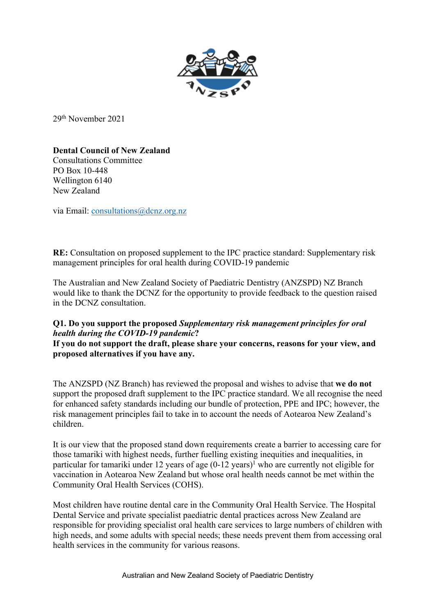

29th November 2021

**Dental Council of New Zealand** 

Consultations Committee PO Box 10-448 Wellington 6140 New Zealand

via Email: consultations@dcnz.org.nz

**RE:** Consultation on proposed supplement to the IPC practice standard: Supplementary risk management principles for oral health during COVID-19 pandemic

The Australian and New Zealand Society of Paediatric Dentistry (ANZSPD) NZ Branch would like to thank the DCNZ for the opportunity to provide feedback to the question raised in the DCNZ consultation.

## **Q1. Do you support the proposed** *Supplementary risk management principles for oral health during the COVID-19 pandemic***?**

**If you do not support the draft, please share your concerns, reasons for your view, and proposed alternatives if you have any.** 

The ANZSPD (NZ Branch) has reviewed the proposal and wishes to advise that **we do not** support the proposed draft supplement to the IPC practice standard. We all recognise the need for enhanced safety standards including our bundle of protection, PPE and IPC; however, the risk management principles fail to take in to account the needs of Aotearoa New Zealand's children.

It is our view that the proposed stand down requirements create a barrier to accessing care for those tamariki with highest needs, further fuelling existing inequities and inequalities, in particular for tamariki under 12 years of age  $(0-12 \text{ years})^1$  who are currently not eligible for vaccination in Aotearoa New Zealand but whose oral health needs cannot be met within the Community Oral Health Services (COHS).

Most children have routine dental care in the Community Oral Health Service. The Hospital Dental Service and private specialist paediatric dental practices across New Zealand are responsible for providing specialist oral health care services to large numbers of children with high needs, and some adults with special needs; these needs prevent them from accessing oral health services in the community for various reasons.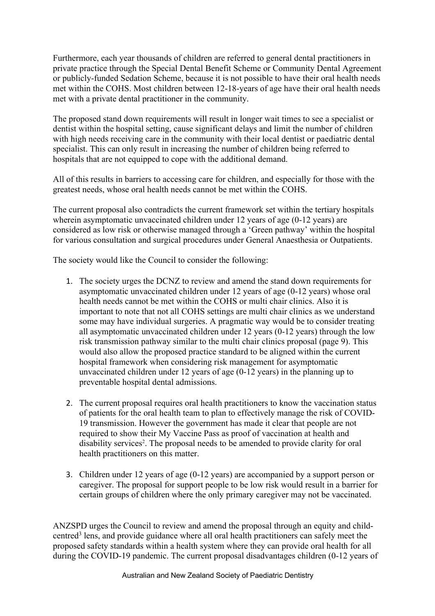Furthermore, each year thousands of children are referred to general dental practitioners in private practice through the Special Dental Benefit Scheme or Community Dental Agreement or publicly-funded Sedation Scheme, because it is not possible to have their oral health needs met within the COHS. Most children between 12-18-years of age have their oral health needs met with a private dental practitioner in the community.

The proposed stand down requirements will result in longer wait times to see a specialist or dentist within the hospital setting, cause significant delays and limit the number of children with high needs receiving care in the community with their local dentist or paediatric dental specialist. This can only result in increasing the number of children being referred to hospitals that are not equipped to cope with the additional demand.

All of this results in barriers to accessing care for children, and especially for those with the greatest needs, whose oral health needs cannot be met within the COHS.

The current proposal also contradicts the current framework set within the tertiary hospitals wherein asymptomatic unvaccinated children under 12 years of age (0-12 years) are considered as low risk or otherwise managed through a 'Green pathway' within the hospital for various consultation and surgical procedures under General Anaesthesia or Outpatients.

The society would like the Council to consider the following:

- 1. The society urges the DCNZ to review and amend the stand down requirements for asymptomatic unvaccinated children under 12 years of age (0-12 years) whose oral health needs cannot be met within the COHS or multi chair clinics. Also it is important to note that not all COHS settings are multi chair clinics as we understand some may have individual surgeries. A pragmatic way would be to consider treating all asymptomatic unvaccinated children under 12 years (0-12 years) through the low risk transmission pathway similar to the multi chair clinics proposal (page 9). This would also allow the proposed practice standard to be aligned within the current hospital framework when considering risk management for asymptomatic unvaccinated children under 12 years of age (0-12 years) in the planning up to preventable hospital dental admissions.
- 2. The current proposal requires oral health practitioners to know the vaccination status of patients for the oral health team to plan to effectively manage the risk of COVID-19 transmission. However the government has made it clear that people are not required to show their My Vaccine Pass as proof of vaccination at health and disability services<sup>2</sup>. The proposal needs to be amended to provide clarity for oral health practitioners on this matter.
- 3. Children under 12 years of age (0-12 years) are accompanied by a support person or caregiver. The proposal for support people to be low risk would result in a barrier for certain groups of children where the only primary caregiver may not be vaccinated.

ANZSPD urges the Council to review and amend the proposal through an equity and childcentred3 lens, and provide guidance where all oral health practitioners can safely meet the proposed safety standards within a health system where they can provide oral health for all during the COVID-19 pandemic. The current proposal disadvantages children (0-12 years of